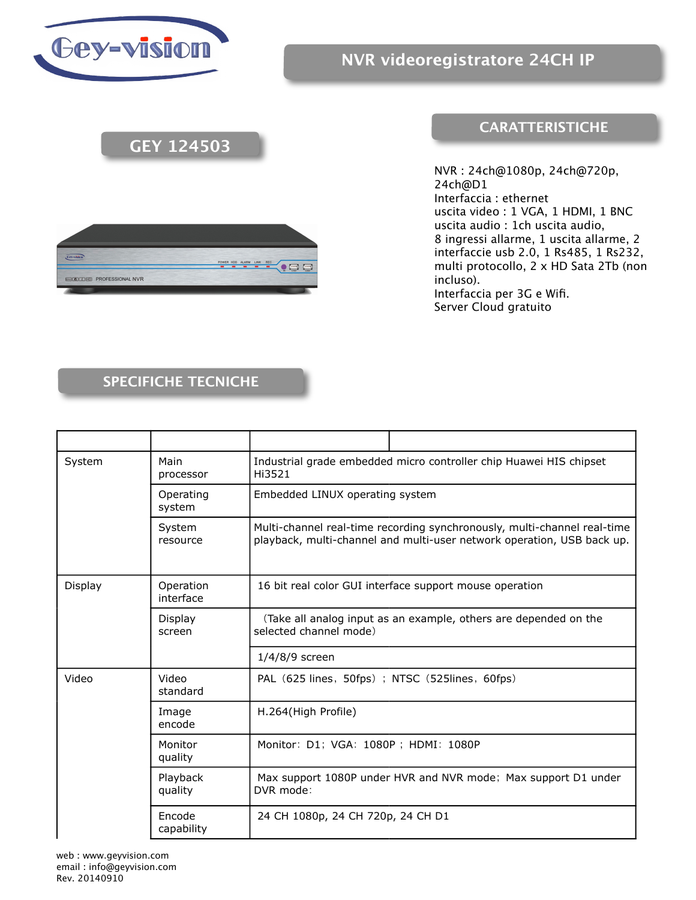

**Cervisto** 

## **GEY 124503**

## **CARATTERISTICHE**

NVR : 24ch@1080p, 24ch@720p, 24ch@D1 Interfaccia : ethernet uscita video : 1 VGA, 1 HDMI, 1 BNC uscita audio : 1ch uscita audio, 8 ingressi allarme, 1 uscita allarme, 2 interfaccie usb 2.0, 1 Rs485, 1 Rs232, multi protocollo, 2 x HD Sata 2Tb (non incluso). Interfaccia per 3G e Wifi. Server Cloud gratuito



## **SPECIFICHE TECNICHE**

| System  | Main<br>processor      | Industrial grade embedded micro controller chip Huawei HIS chipset<br>Hi3521                                                                       |
|---------|------------------------|----------------------------------------------------------------------------------------------------------------------------------------------------|
|         | Operating<br>system    | Embedded LINUX operating system                                                                                                                    |
|         | System<br>resource     | Multi-channel real-time recording synchronously, multi-channel real-time<br>playback, multi-channel and multi-user network operation, USB back up. |
| Display | Operation<br>interface | 16 bit real color GUI interface support mouse operation                                                                                            |
|         | Display<br>screen      | (Take all analog input as an example, others are depended on the<br>selected channel mode)                                                         |
|         |                        | $1/4/8/9$ screen                                                                                                                                   |
| Video   | Video<br>standard      | PAL (625 lines, 50fps); NTSC (525lines, 60fps)                                                                                                     |
|         | Image<br>encode        | H.264(High Profile)                                                                                                                                |
|         | Monitor<br>quality     | Monitor: D1; VGA: 1080P; HDMI: 1080P                                                                                                               |
|         | Playback<br>quality    | Max support 1080P under HVR and NVR mode; Max support D1 under<br>DVR mode:                                                                        |
|         | Encode<br>capability   | 24 CH 1080p, 24 CH 720p, 24 CH D1                                                                                                                  |